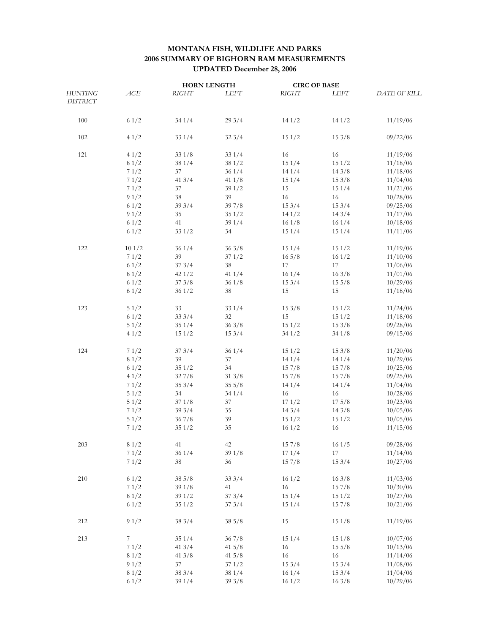## **MONTANA FISH, WILDLIFE AND PARKS 2006 SUMMARY OF BIGHORN RAM MEASUREMENTS UPDATED December 28, 2006**

|                                   |       | <b>HORN LENGTH</b> |             | <b>CIRC OF BASE</b> |       |                     |
|-----------------------------------|-------|--------------------|-------------|---------------------|-------|---------------------|
| <b>HUNTING</b><br><b>DISTRICT</b> | AGE   | <b>RIGHT</b>       | <b>LEFT</b> | <b>RIGHT</b>        | LEFT  | <b>DATE OF KILL</b> |
|                                   |       |                    |             |                     |       |                     |
| 100                               | 61/2  | 341/4              | 293/4       | 141/2               | 141/2 | 11/19/06            |
| 102                               | 41/2  | 331/4              | 323/4       | 151/2               | 153/8 | 09/22/06            |
| 121                               | 41/2  | 331/8              | 331/4       | 16                  | 16    | 11/19/06            |
|                                   | 81/2  | 381/4              | 381/2       | 151/4               | 151/2 | 11/18/06            |
|                                   | 71/2  | 37                 | 361/4       | 141/4               | 143/8 | 11/18/06            |
|                                   | 71/2  | 413/4              | 411/8       | 151/4               | 153/8 | 11/04/06            |
|                                   | 71/2  | 37                 | 391/2       | 15                  | 151/4 | 11/21/06            |
|                                   | 91/2  | 38                 | 39          | 16                  | 16    | 10/28/06            |
|                                   | 61/2  | 393/4              | 397/8       | 153/4               | 153/4 | 09/25/06            |
|                                   | 91/2  | 35                 | 351/2       | 141/2               | 143/4 | 11/17/06            |
|                                   | 61/2  | 41                 | 391/4       | 161/8               | 161/4 | 10/18/06            |
|                                   | 61/2  | 331/2              | 34          | 151/4               | 151/4 | 11/11/06            |
| 122                               | 101/2 | 361/4              | 363/8       | 151/4               | 151/2 | 11/19/06            |
|                                   | 71/2  | 39                 | 371/2       | $16\frac{5}{8}$     | 161/2 | 11/10/06            |
|                                   | 61/2  | 373/4              | 38          | 17                  | 17    | 11/06/06            |
|                                   | 81/2  | 421/2              | 411/4       | 161/4               | 163/8 | 11/01/06            |
|                                   | 61/2  | 373/8              | 361/8       | 153/4               | 155/8 | 10/29/06            |
|                                   | 61/2  | 361/2              | 38          | 15                  | 15    | 11/18/06            |
| 123                               | 51/2  | 33                 | 331/4       | 153/8               | 151/2 | 11/24/06            |
|                                   | 61/2  | 333/4              | 32          | 15                  | 151/2 | 11/18/06            |
|                                   | 51/2  | 351/4              | 363/8       | 151/2               | 153/8 | 09/28/06            |
|                                   | 41/2  | 151/2              | 153/4       | 341/2               | 341/8 | 09/15/06            |
| 124                               | 71/2  | 373/4              | 361/4       | 151/2               | 153/8 | 11/20/06            |
|                                   | 81/2  | 39                 | 37          | 141/4               | 141/4 | 10/29/06            |
|                                   | 61/2  | 351/2              | 34          | 157/8               | 157/8 | 10/25/06            |
|                                   | 41/2  | 327/8              | 313/8       | 157/8               | 157/8 | 09/25/06            |
|                                   | 71/2  | 353/4              | 355/8       | 141/4               | 141/4 | 11/04/06            |
|                                   | 51/2  | 34                 | 341/4       | 16                  | 16    | 10/28/06            |
|                                   | 51/2  | 371/8              | 37          | 171/2               | 175/8 | 10/23/06            |
|                                   | 71/2  | 393/4              | 35          | 143/4               | 143/8 | 10/05/06            |
|                                   | 51/2  | 367/8              | 39          | 151/2               | 151/2 | 10/05/06            |
|                                   | 71/2  | 351/2              | 35          | 161/2               | 16    | 11/15/06            |
| 203                               | 81/2  | 41                 | 42          | 157/8               | 161/5 | 09/28/06            |
|                                   | 71/2  | 361/4              | 391/8       | 171/4               | 17    | 11/14/06            |
|                                   | 71/2  | 38                 | 36          | 157/8               | 153/4 | 10/27/06            |
| 210                               | 61/2  | 385/8              | 333/4       | 161/2               | 163/8 | 11/03/06            |
|                                   | 71/2  | 391/8              | 41          | 16                  | 157/8 | 10/30/06            |
|                                   | 81/2  | 391/2              | 373/4       | 151/4               | 151/2 | 10/27/06            |
|                                   | 61/2  | 351/2              | 373/4       | 151/4               | 157/8 | 10/21/06            |
| 212                               | 91/2  | 383/4              | 385/8       | 15                  | 151/8 | 11/19/06            |
| 213                               | 7     | 351/4              | 367/8       | 151/4               | 151/8 | 10/07/06            |
|                                   | 71/2  | 413/4              | $41\,5/8$   | 16                  | 155/8 | 10/13/06            |
|                                   | 81/2  | 413/8              | $41\,5/8$   | 16                  | 16    | 11/14/06            |
|                                   | 91/2  | 37                 | 371/2       | 153/4               | 153/4 | 11/08/06            |
|                                   | 81/2  | 383/4              | 381/4       | 161/4               | 153/4 | 11/04/06            |
|                                   | 61/2  | 39 1/4             | 393/8       | 161/2               | 163/8 | 10/29/06            |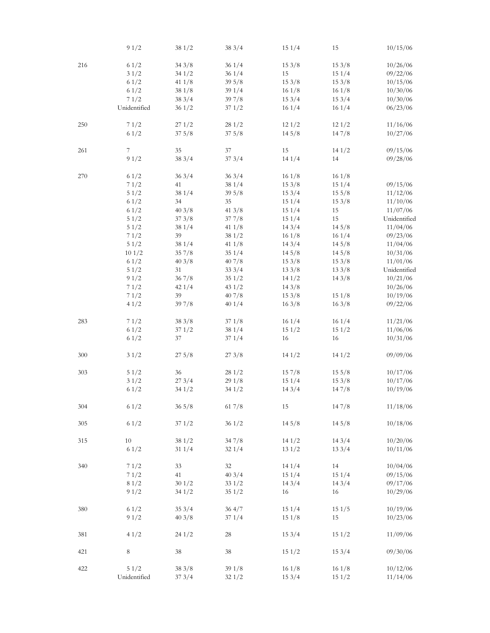|     | 91/2         | 381/2           | 383/4           | 151/4 | 15               | 10/15/06     |
|-----|--------------|-----------------|-----------------|-------|------------------|--------------|
| 216 | 61/2         | 343/8           | 361/4           | 153/8 | 153/8            | 10/26/06     |
|     | 31/2         | 341/2           | 361/4           | 15    | 151/4            | 09/22/06     |
|     | 61/2         | 411/8           | $39\frac{5}{8}$ | 153/8 | 153/8            | 10/15/06     |
|     | 61/2         | 381/8           | 391/4           | 161/8 | 161/8            | 10/30/06     |
|     | 71/2         | 383/4           | 397/8           | 153/4 | 153/4            | 10/30/06     |
|     |              |                 |                 |       |                  |              |
|     | Unidentified | 361/2           | 371/2           | 161/4 | 161/4            | 06/23/06     |
| 250 | 71/2         | 271/2           | 281/2           | 121/2 | 121/2            | 11/16/06     |
|     | 61/2         | 375/8           | 375/8           | 145/8 | 147/8            | 10/27/06     |
| 261 | 7            | 35              | 37              | 15    | 141/2            | 09/15/06     |
|     | 91/2         | 383/4           | 373/4           | 141/4 | 14               | 09/28/06     |
|     |              |                 |                 |       |                  |              |
| 270 | 61/2         | 363/4           | 363/4           | 161/8 | 161/8            |              |
|     | 71/2         | 41              | 38 1/4          | 153/8 | 151/4            | 09/15/06     |
|     | 51/2         | 381/4           | $39\frac{5}{8}$ | 153/4 | 155/8            | 11/12/06     |
|     | 61/2         | 34              | 35              | 151/4 | 153/8            | 11/10/06     |
|     | 61/2         | 403/8           | 413/8           | 151/4 | 15               | 11/07/06     |
|     | 51/2         | 373/8           | 377/8           | 151/4 | 15               | Unidentified |
|     |              | 381/4           |                 | 143/4 | 145/8            |              |
|     | 51/2         |                 | 411/8           |       |                  | 11/04/06     |
|     | 71/2         | 39              | 381/2           | 161/8 | 161/4            | 09/23/06     |
|     | 51/2         | 38 1/4          | 411/8           | 143/4 | 145/8            | 11/04/06     |
|     | 101/2        | 357/8           | 351/4           | 145/8 | 145/8            | 10/31/06     |
|     | 61/2         | 403/8           | 407/8           | 153/8 | 153/8            | 11/01/06     |
|     | 51/2         | 31              | 333/4           | 133/8 | 133/8            | Unidentified |
|     | 91/2         | 367/8           | 351/2           | 141/2 | 143/8            | 10/21/06     |
|     |              |                 |                 |       |                  |              |
|     | 71/2         | 421/4           | 431/2           | 143/8 |                  | 10/26/06     |
|     | 71/2         | 39              | 407/8           | 153/8 | 151/8            | 10/19/06     |
|     | 41/2         | 397/8           | 401/4           | 163/8 | 163/8            | 09/22/06     |
| 283 | 71/2         | 383/8           | 371/8           | 161/4 | 161/4            | 11/21/06     |
|     | 61/2         | 371/2           | 38 1/4          | 151/2 | 151/2            | 11/06/06     |
|     | 61/2         | 37              | 371/4           | 16    | 16               | 10/31/06     |
| 300 | 31/2         | 275/8           | 273/8           | 141/2 | 141/2            | 09/09/06     |
|     |              |                 |                 |       |                  |              |
| 303 | 51/2         | 36              | 281/2           | 157/8 | $15 \frac{5}{8}$ | 10/17/06     |
|     | 31/2         | 273/4           | 29 1/8          | 151/4 | 153/8            | 10/17/06     |
|     | 61/2         | 341/2           | 341/2           | 143/4 | 147/8            | 10/19/06     |
| 304 | 61/2         | $36\frac{5}{8}$ | 617/8           | 15    | 147/8            | 11/18/06     |
|     |              |                 |                 |       |                  |              |
| 305 | 61/2         | 371/2           | 361/2           | 145/8 | 145/8            | 10/18/06     |
| 315 | 10           | 38 1/2          | 347/8           | 141/2 | 143/4            | 10/20/06     |
|     | 61/2         | 311/4           | 321/4           | 131/2 | 133/4            | 10/11/06     |
|     |              |                 |                 |       |                  |              |
| 340 | 71/2         | 33              | 32              | 141/4 | 14               | 10/04/06     |
|     | 71/2         | 41              | 403/4           | 151/4 | 151/4            | 09/15/06     |
|     | 81/2         | 301/2           | 331/2           | 143/4 | 143/4            | 09/17/06     |
|     | 91/2         | 341/2           | 351/2           | 16    | 16               | 10/29/06     |
| 380 | 61/2         | 353/4           | 364/7           | 151/4 | 151/5            | 10/19/06     |
|     |              |                 |                 |       |                  |              |
|     | 91/2         | 403/8           | 371/4           | 151/8 | 15               | 10/23/06     |
| 381 | 41/2         | 241/2           | $28\,$          | 153/4 | 151/2            | 11/09/06     |
| 421 | 8            | 38              | 38              | 151/2 | 153/4            | 09/30/06     |
| 422 | 51/2         | 383/8           | 391/8           | 161/8 | 161/8            | 10/12/06     |
|     | Unidentified | 373/4           | 321/2           | 153/4 | 151/2            | 11/14/06     |
|     |              |                 |                 |       |                  |              |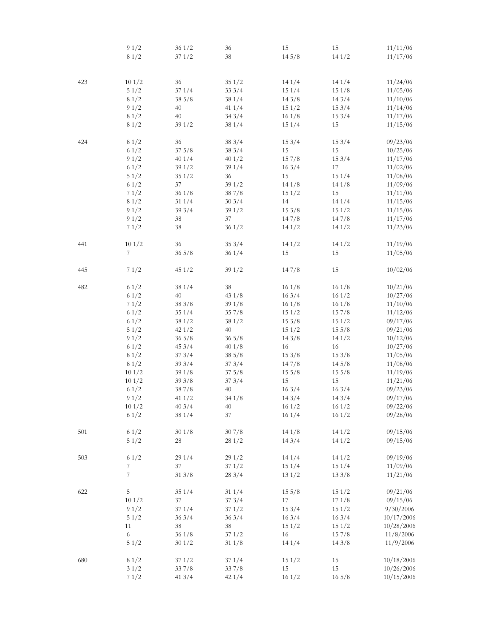|     | 91/2             | 361/2           | 36              | 15    | 15              | 11/11/06   |
|-----|------------------|-----------------|-----------------|-------|-----------------|------------|
|     | 81/2             | 371/2           | 38              | 145/8 | 141/2           | 11/17/06   |
|     |                  |                 |                 |       |                 |            |
|     |                  |                 |                 |       |                 |            |
| 423 | 101/2            | 36              | 351/2           | 141/4 | 141/4           | 11/24/06   |
|     | 51/2             | 371/4           | 333/4           | 151/4 | 151/8           | 11/05/06   |
|     | 81/2             | 385/8           | 381/4           | 143/8 | 143/4           | 11/10/06   |
|     | 91/2             | 40              | 411/4           | 151/2 | 153/4           | 11/14/06   |
|     | 81/2             | 40              | 343/4           | 161/8 | 153/4           | 11/17/06   |
|     | 81/2             | 391/2           | 381/4           | 151/4 | 15              | 11/15/06   |
| 424 | 81/2             | 36              | 383/4           | 153/4 | 153/4           | 09/23/06   |
|     | 61/2             | 375/8           | 383/4           | 15    | 15              | 10/25/06   |
|     |                  |                 |                 | 157/8 | 153/4           |            |
|     | 91/2             | 401/4           | 401/2           |       |                 | 11/17/06   |
|     | 61/2             | 391/2           | 391/4           | 163/4 | 17              | 11/02/06   |
|     | 51/2             | 351/2           | 36              | 15    | 151/4           | 11/08/06   |
|     | 61/2             | 37              | 391/2           | 141/8 | 141/8           | 11/09/06   |
|     | 71/2             | 361/8           | 387/8           | 151/2 | 15              | 11/11/06   |
|     | 81/2             | 311/4           | 303/4           | 14    | 141/4           | 11/15/06   |
|     | 91/2             | 393/4           | 391/2           | 153/8 | 151/2           | 11/15/06   |
|     | 91/2             | 38              | 37              | 147/8 | 147/8           | 11/17/06   |
|     | 71/2             | 38              | 361/2           | 141/2 | 141/2           | 11/23/06   |
|     | 101/2            | 36              |                 | 141/2 |                 |            |
| 441 |                  |                 | 353/4           |       | 141/2           | 11/19/06   |
|     | $\boldsymbol{7}$ | 365/8           | 361/4           | 15    | 15              | 11/05/06   |
| 445 | 71/2             | 451/2           | 391/2           | 147/8 | 15              | 10/02/06   |
| 482 | 61/2             | 381/4           | 38              | 161/8 | 161/8           | 10/21/06   |
|     | 61/2             | 40              | 431/8           | 163/4 | 161/2           | 10/27/06   |
|     | 71/2             | 383/8           | 391/8           | 161/8 | 161/8           | 11/10/06   |
|     | 61/2             | 351/4           | 357/8           | 151/2 | 15 7/8          | 11/12/06   |
|     | 61/2             | 381/2           | 381/2           | 153/8 | 151/2           | 09/17/06   |
|     | 51/2             | 421/2           | 40              | 151/2 | 155/8           | 09/21/06   |
|     |                  |                 |                 |       |                 |            |
|     | 91/2             | $36\frac{5}{8}$ | $36\frac{5}{8}$ | 143/8 | 141/2           | 10/12/06   |
|     | 61/2             | 453/4           | 401/8           | 16    | 16              | 10/27/06   |
|     | 81/2             | 373/4           | 385/8           | 153/8 | 153/8           | 11/05/06   |
|     | 81/2             | 393/4           | 373/4           | 147/8 | 145/8           | 11/08/06   |
|     | 101/2            | 391/8           | 375/8           | 155/8 | 155/8           | 11/19/06   |
|     | 101/2            | 393/8           | 373/4           | 15    | 15              | 11/21/06   |
|     | 61/2             | 38 7/8          | 40              | 163/4 | 163/4           | 09/23/06   |
|     | 91/2             | 41 $1/2$        | 341/8           | 143/4 | 143/4           | 09/17/06   |
|     | 101/2            | 403/4           | 40              | 161/2 | 161/2           | 09/22/06   |
|     | 61/2             | 38 1/4          | 37              | 161/4 | 161/2           | 09/28/06   |
| 501 | 61/2             | 301/8           | 307/8           | 141/8 | 141/2           | 09/15/06   |
|     | 51/2             | 28              | 281/2           | 143/4 | 141/2           | 09/15/06   |
|     |                  |                 |                 |       |                 |            |
| 503 | 61/2             | 291/4           | 291/2           | 141/4 | 141/2           | 09/19/06   |
|     | 7                | 37              | 371/2           | 151/4 | 151/4           | 11/09/06   |
|     | 7                | 313/8           | 283/4           | 131/2 | 133/8           | 11/21/06   |
| 622 | 5                | 351/4           | 311/4           | 155/8 | 151/2           | 09/21/06   |
|     | 101/2            | 37              | 373/4           | 17    | 171/8           | 09/15/06   |
|     | 91/2             | 371/4           | 371/2           | 153/4 | 151/2           | 9/30/2006  |
|     | $51/2$           | 363/4           | 363/4           | 163/4 | 163/4           | 10/17/2006 |
|     |                  | 38              |                 |       |                 |            |
|     | 11               |                 | $38\,$          | 151/2 | 151/2           | 10/28/2006 |
|     | $\sqrt{6}$       | 361/8           | 371/2           | 16    | 157/8           | 11/8/2006  |
|     | 51/2             | 301/2           | 311/8           | 141/4 | 143/8           | 11/9/2006  |
| 680 | 81/2             | 371/2           | 371/4           | 151/2 | 15              | 10/18/2006 |
|     | 31/2             | 337/8           | 337/8           | 15    | 15              | 10/26/2006 |
|     | 71/2             | 413/4           | 421/4           | 161/2 | $16\frac{5}{8}$ | 10/15/2006 |
|     |                  |                 |                 |       |                 |            |